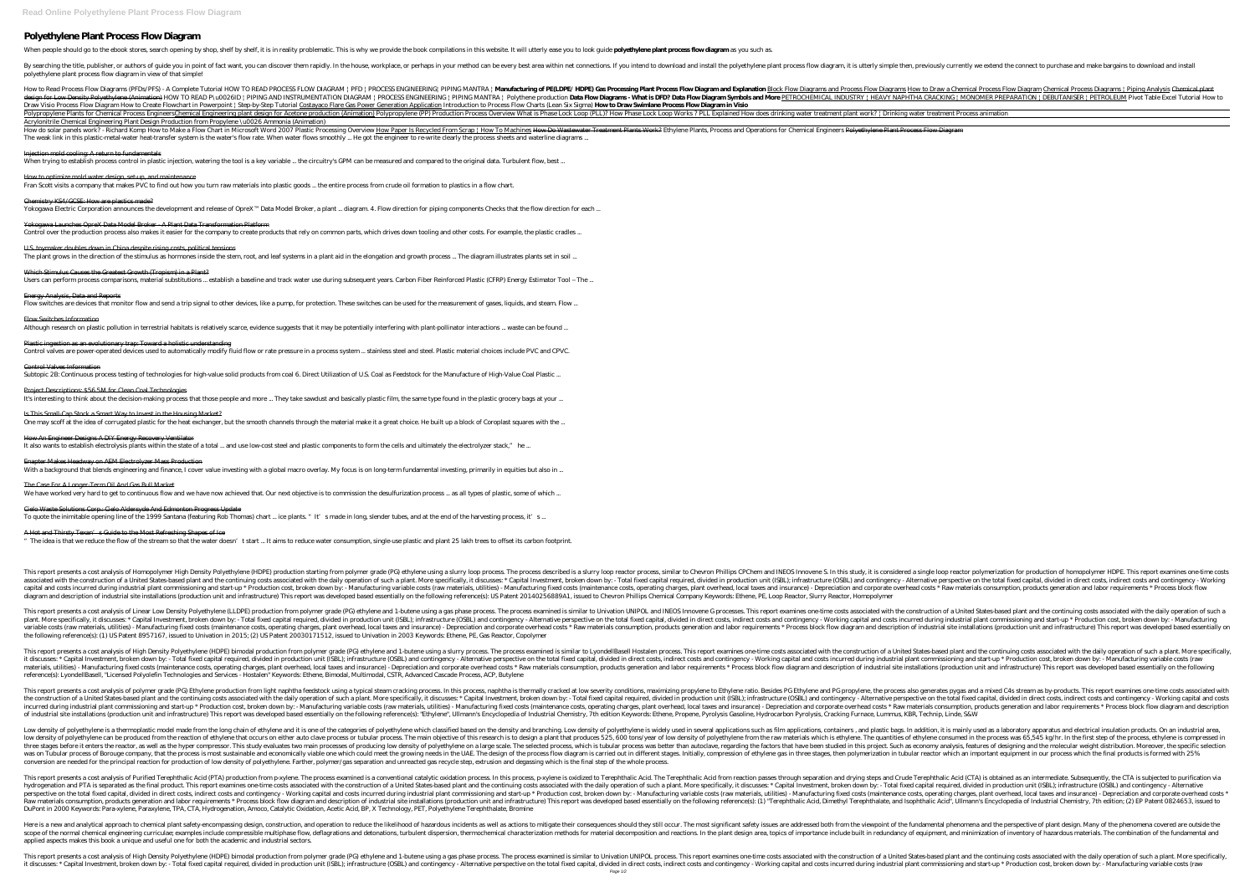# **Polyethylene Plant Process Flow Diagram**

When people should go to the ebook stores, search opening by shop, shelf by shelf, it is in reality problematic. This is why we provide the book compilations in this website. It will utterly ease you to look guide polyethy

By searching the title, publisher, or authors of guide you in point of fact want, you can discover them rapidly. In the house, workplace, or perhaps in your method can be every best area within net connections. If you inte polyethylene plant process flow diagram in view of that simple!

How to Read Process Flow Diagrams (PFDs/PFS) - A Complete Tutorial HOW TO READ PROCESS FLOW DIAGRAM | PFD | PROCESS ENGINEERING| PIPING MANTRA | **Manufacturing of PE(LDPE/ HDPE) Ges Process Flow Diagrams and Process Flow D** design for Low Density Polyethylene (Animation) HOW TO READ R u0026ID | PIPING AND INSTRUMENTATION DIAGRAM | PROCESS ENGINEERING | PIPING MANTRA | Polythene production **Data Flow Diagram Synbols and More** PETROCHEMICAL IND Draw Visio Process Flow Diagram How to Create Flowchart in Powerpoint | Step-by-Step Tutorial Costayaco Flare Gas Power Generation Application Introduction to Process Flow Charts (Lean Six Sigma) How to Draw Swimlane Proce Polypropylene Plants for Chemical Process EngineersChemical Engineering plant design for Acetone production (Animation) Polypropylene (PP) Production Process Overview What is Phase Lock Loop (PLL)? How Phase Lock Loop Work Acrylonitrile Chemical Engineering Plant Design Production from Propylene \u0026 Ammonia (Animation)

How do solar panels work? - Richard Komp How to Make a Flow Chart in Microsoft Word 2007 *Plastic Processing Overview* <u>How Paper Is Recycled From Scrap¦ How To Machines <del>How Do Wastewater Treatment Plants, Process and Ope</u></del> The weak link in this plastic-metal-water heat-transfer system is the water's flow rate. When water flows smoothly ... He got the engineer to re-write clearly the process sheets and waterline diagrams ...

Injection mold cooling: A return to fundamentals

When trying to establish process control in plastic injection, watering the tool is a key variable ... the circuitry's GPM can be measured and compared to the original data. Turbulent flow, best ...

How An Engineer Designs A DIY Energy Recovery Ventilator It also wants to establish electrolysis plants within the state of a total ... and use low-cost steel and plastic components to form the cells and ultimately the electrolyzer stack," he ...

Enapter Makes Headway on AEM Electrolyzer Mass Production With a background that blends engineering and finance, I cover value investing with a global macro overlay. My focus is on long-term fundamental investing, primarily in equities but also in ..

#### How to optimize mold water design, set-up, and maintenance

Fran Scott visits a company that makes PVC to find out how you turn raw materials into plastic goods ... the entire process from crude oil formation to plastics in a flow chart.

Cielo Waste Solutions Corp.: Cielo Aldersyde And Edmonton Progress Update To quote the inimitable opening line of the 1999 Santana (featuring Rob Thomas) chart ... ice plants. "It's made in long, slender tubes, and at the end of the harvesting process, it's ...

A Hot and Thirsty Texan's Guide to the Most Refreshing Shapes of Ice

" The idea is that we reduce the flow of the stream so that the water doesn't start … It aims to reduce water consumption, single-use plastic and plant 25 lakh trees to offset its carbon footprint.

This report presents a cost analysis of Homopolymer High Density Polyethylene (HDPE) production starting from polymer grade (PG) ethylene using a slurry loop process. The process described is a slurry loop process. The pro associated with the construction of a United States-based plant and the continuing costs associated with the daily operation of such a plant. More specifically, it discusses: \* Capital Investment, broken down by: - Total f reported during industrial plant commissioning and start-up \* Production cost, broken down by: - Manufacturing variable costs (naw materials, utilities) - Manufacturing fixed costs (naw materials, utilities) - Manufacturin diagram and description of industrial site installations (production unit and infrastructure) This report was developed based essentially on the following reference(s): US Patent 20140256889A1, issued to Chevron Phillips C

#### Chemistry KS4/GCSE: How are plastics made?

Yokogawa Electric Corporation announces the development and release of OpreX™ Data Model Broker, a plant ... diagram. 4. Flow direction for piping components Checks that the flow direction for each ..

### Yokogawa Launches OpreX Data Model Broker - A Plant Data Transformation Platform

Control over the production process also makes it easier for the company to create products that rely on common parts, which drives down tooling and other costs. For example, the plastic cradles ...

U.S. toymaker doubles down in China despite rising costs, political tensions The plant grows in the direction of the stimulus as hormones inside the stem, root, and leaf systems in a plant aid in the elongation and growth process ... The diagram illustrates plants set in soil ...

Which Stimulus Causes the Greatest Growth (Tropism) in a Plant? Users can perform process comparisons, material substitutions ... establish a baseline and track water use during subsequent years. Carbon Fiber Reinforced Plastic (CFRP) Energy Estimator Tool – The ...

# Energy Analysis, Data and Reports

Flow switches are devices that monitor flow and send a trip signal to other devices, like a pump, for protection. These switches can be used for the measurement of gases, liquids, and steam. Flow ...

## Flow Switches Information

Although research on plastic pollution in terrestrial habitats is relatively scarce, evidence suggests that it may be potentially interfering with plant-pollinator interactions ... waste can be found ...

Plastic ingestion as an evolutionary trap: Toward a holistic understanding Control valves are power-operated devices used to automatically modify fluid flow or rate pressure in a process system ... stainless steel and steel. Plastic material choices include PVC and CPVC.

This report presents a cost analysis of Linear Low Density Polyethylene (LLDPE) production from polymer grade (PG) ethylene and 1-butene using a gas phase processes. The process examined is similar to Univation ONIPOL and Nore specifically, it discusses: \* Capital Investment, broken down by: - Total fixed capital required, divided in production unit (ISBL); infrastructure (OSBL) and contingency - Morking capital and costs incurred during in variable costs (raw materials, utilities) - Manufacturing fixed costs (maintenance costs, operating charges, plant overhead, local taxes and insurance) - Depreciation and description of industrial site installations (produ the following reference(s): (1) US Patent 8957167, issued to Univation in 2015; (2) US Patent 20030171512, issued to Univation in 2003 Keywords: Ethene, PE, Gas Reactor, Copolymer

#### Control Valves Information

Subtopic 2B: Continuous process testing of technologies for high-value solid products from coal 6. Direct Utilization of U.S. Coal as Feedstock for the Manufacture of High-Value Coal Plastic ...

Project Descriptions: \$56.5M for Clean Coal Technologies

It's interesting to think about the decision-making process that those people and more ... They take sawdust and basically plastic film, the same type found in the plastic grocery bags at your ...

Is This Small-Cap Stock a Smart Way to Invest in the Housing Market?

One may scoff at the idea of corrugated plastic for the heat exchanger, but the smooth channels through the material make it a great choice. He built up a block of Coroplast squares with the ...

This report presents a cost analysis of High Density Polyethylene (HDPE) bimodal production from polymer grade (PG) ethylene and 1-butene using a slurry process. The process examined is similar to LyondellBasell Hostalen p it discusses: \* Capital Investment, broken down by: - Total fixed capital required, divided in production unit (ISBL); infrastructure (OSBL) and contingency - Morking capital and costs incurred during industrial plant comm materials, utilities) - Manufacturing fixed costs (maintenance costs, operating charges, plant overhead, local taxes and insurance) - Depreciation and description of industrial site installations (production unit and infra reference(s): LyondellBasell, "Licensed Polyolefin Technologies and Services - Hostalen" Keywords: Ethene, Bimodal, Multimodal, CSTR, Advanced Cascade Process, ACP, Butylene

This report presents a cost analysis of polymer grade (PG) Ethylene production from light naphtha feedstock using a typical steam cracking process. In this process, naphtha is thermally cracked at low severity conditions, the construction of a United States-based plant and the continuing costs associated with the daily operation of such a plant. More specifically, it discusses: \* Capital Investment, broken down by: - Total fixed capital, di incurred during industrial plant commissioning and start-up \* Production cost, broken down by: - Manufacturing variable costs (raw materials, utilities) - Manufacturing fixed costs (raw materials, utilities) - Manufacturin of industrial site installations (production unit and infrastructure) This report was developed based essentially on the following reference(s): "Ethylene", Ullmann's Encyclopedia of Industrial Chemistry, 7th edition Keywo

Low density of polyethylene is a thermoplastic model made from the long chain of ethylene and it is one of the categories of polyethylene is widely used in several applications, containers , and plastic bags. In addition, low density of polyethylene can be produced from the reaction of ethylene that occurs on either auto clave process or tubular process. The main objective of this research is to design a plant that produces 525, 600 tons/ye three stages before it enters the reactor, as well as the hyper compressor. This study evaluates two main processes of producing low density of polyethylene on a large scale. The selected process, which is tubular process, was on Tubular process of Borouge company, that the process is most sustainable and economically viable one which could meet the growing needs in three stages, then polymerization in tubular reactor which an important equi conversion are needed for the principal reaction for production of low density of polyethylene. Farther, polymer/gas separation and unreacted gas recycle step, extrusion and degassing which is the final step of the whole p

The Case For A Longer-Term Oil And Gas Bull Market

We have worked very hard to get to continuous flow and we have now achieved that. Our next objective is to commission the desulfurization process ... as all types of plastic, some of which ...

This report presents a cost analysis of Purified Terephthalic Acid (PTA) production from p-xylene. The process examined is a conventional catalytic oxidation process. In this process, p-xylene is oxidized to Terephthalic A ime costs associated with the construction of a United States-based plant and the construction of a United States-based plant and the continuing costs associated with the daily operation of a United States-based plant and perspective on the total fixed capital, divided in direct costs, indirect costs and contingency - Working capital and costs incurred during industrial plant commissioning and start-up \* Production cost, broken down by. - M Raw materials consumption, products generation and labor requirements \* Process block flow diagram and description of industrial site installations (production unit and infrastructure) This report was developed based essen DuPont in 2000 Keywords: Para-xylene, Paraxylene, TPA, CTA, Hydrogenation, Amoco, Catalytic Oxidation, Acetic Acid, BP, X Technology, PET, Polyethylene Terephthalate, Bromine

Here is a new and analytical approach to chemical plant safety-encompassing design, construction, and operation to reduce the likelihood of hazardous incidents as well as actions to mitigate their consequences should they scope of the normal chemical engineering curriculae; examples include compressible multiphase flow, deflagrations and detonations, turbulent dispersion, thermochemical characterization methods for material decomposition an applied aspects makes this book a unique and useful one for both the academic and industrial sectors.

This report presents a cost analysis of High Density Polyethylene (HDPE) bimodal production from polymer grade (PG) ethylene and 1-butene using a gas phase process. The process examined is similar to Univation UNIPOL proce it discusses: \* Capital Investment, broken down by: - Total fixed capital required, divided in production unit (ISBL); infrastructure (OSBL) and contingency - Morking capital and costs incurred during industrial plant comm Page 1/2